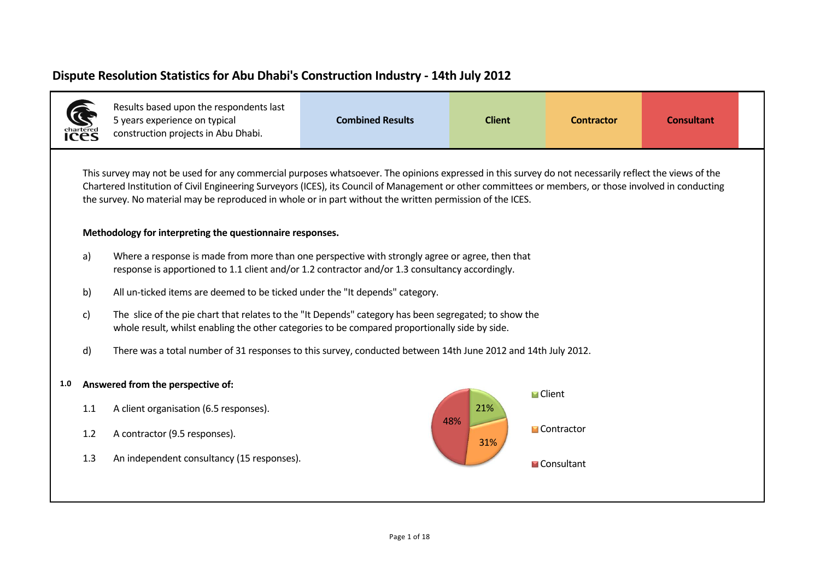|     |                                                                                                                                                                                                                                                                                                                                                                                                                              | Results based upon the respondents last<br>5 years experience on typical<br>construction projects in Abu Dhabi.                                                                                                                                                                    | <b>Combined Results</b> | <b>Client</b> | <b>Contractor</b> | <b>Consultant</b> |  |
|-----|------------------------------------------------------------------------------------------------------------------------------------------------------------------------------------------------------------------------------------------------------------------------------------------------------------------------------------------------------------------------------------------------------------------------------|------------------------------------------------------------------------------------------------------------------------------------------------------------------------------------------------------------------------------------------------------------------------------------|-------------------------|---------------|-------------------|-------------------|--|
|     | This survey may not be used for any commercial purposes whatsoever. The opinions expressed in this survey do not necessarily reflect the views of the<br>Chartered Institution of Civil Engineering Surveyors (ICES), its Council of Management or other committees or members, or those involved in conducting<br>the survey. No material may be reproduced in whole or in part without the written permission of the ICES. |                                                                                                                                                                                                                                                                                    |                         |               |                   |                   |  |
|     | Methodology for interpreting the questionnaire responses.                                                                                                                                                                                                                                                                                                                                                                    |                                                                                                                                                                                                                                                                                    |                         |               |                   |                   |  |
|     | a)                                                                                                                                                                                                                                                                                                                                                                                                                           | Where a response is made from more than one perspective with strongly agree or agree, then that<br>response is apportioned to 1.1 client and/or 1.2 contractor and/or 1.3 consultancy accordingly.<br>All un-ticked items are deemed to be ticked under the "It depends" category. |                         |               |                   |                   |  |
|     | b)                                                                                                                                                                                                                                                                                                                                                                                                                           |                                                                                                                                                                                                                                                                                    |                         |               |                   |                   |  |
|     | c)                                                                                                                                                                                                                                                                                                                                                                                                                           | The slice of the pie chart that relates to the "It Depends" category has been segregated; to show the<br>whole result, whilst enabling the other categories to be compared proportionally side by side.                                                                            |                         |               |                   |                   |  |
|     | d)                                                                                                                                                                                                                                                                                                                                                                                                                           | There was a total number of 31 responses to this survey, conducted between 14th June 2012 and 14th July 2012.                                                                                                                                                                      |                         |               |                   |                   |  |
| 1.0 | 1.1                                                                                                                                                                                                                                                                                                                                                                                                                          | Answered from the perspective of:<br>A client organisation (6.5 responses).                                                                                                                                                                                                        |                         | 21%<br>48%    | <b>■</b> Client   |                   |  |
|     | 1.2                                                                                                                                                                                                                                                                                                                                                                                                                          | A contractor (9.5 responses).                                                                                                                                                                                                                                                      |                         | 31%           | ■ Contractor      |                   |  |
|     | 1.3                                                                                                                                                                                                                                                                                                                                                                                                                          | An independent consultancy (15 responses).                                                                                                                                                                                                                                         |                         |               | <b>Consultant</b> |                   |  |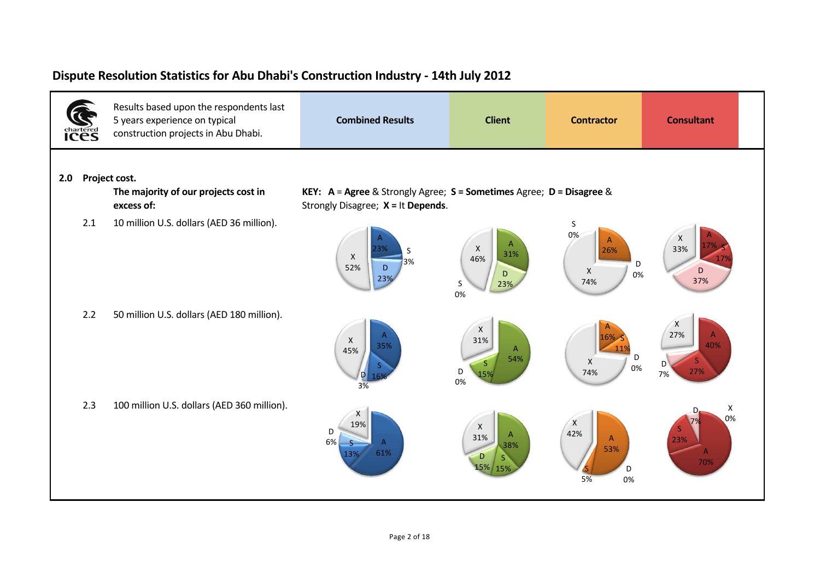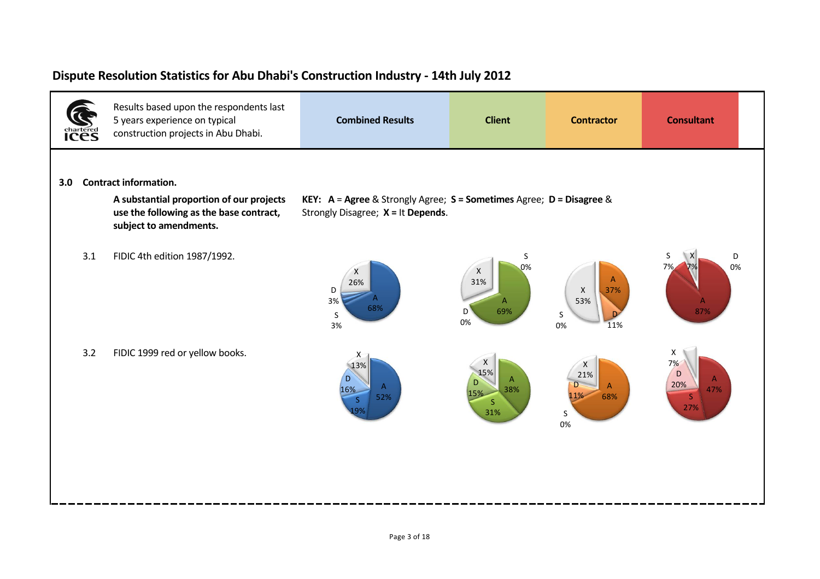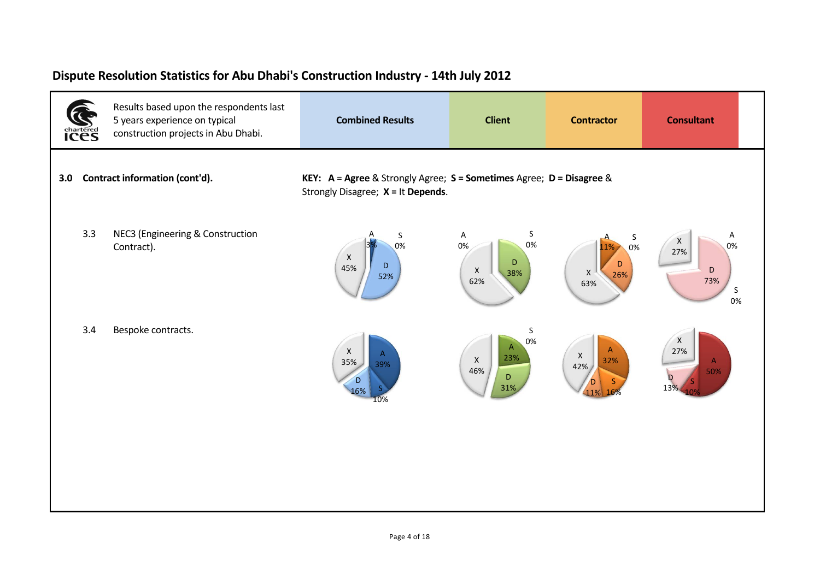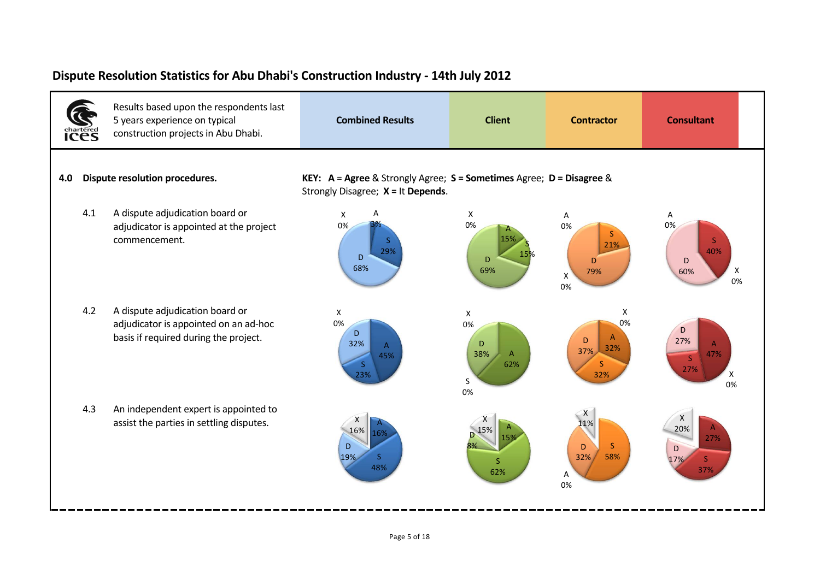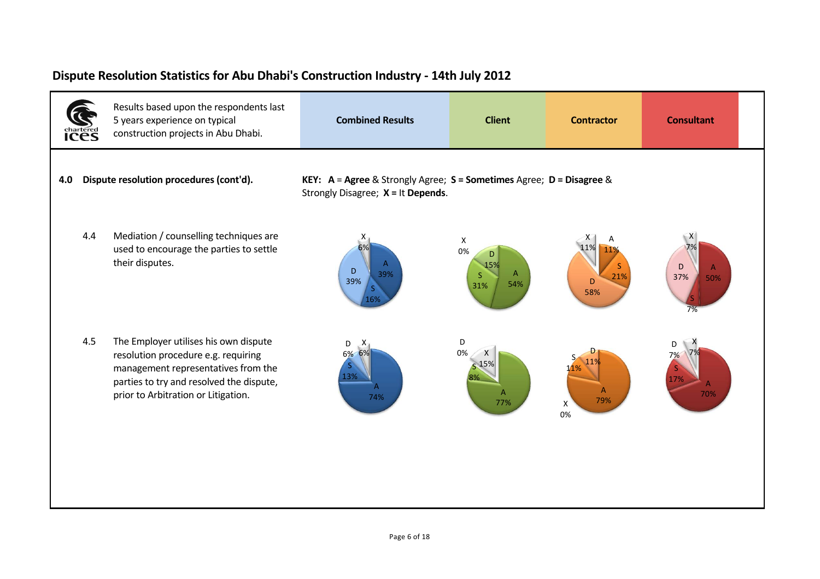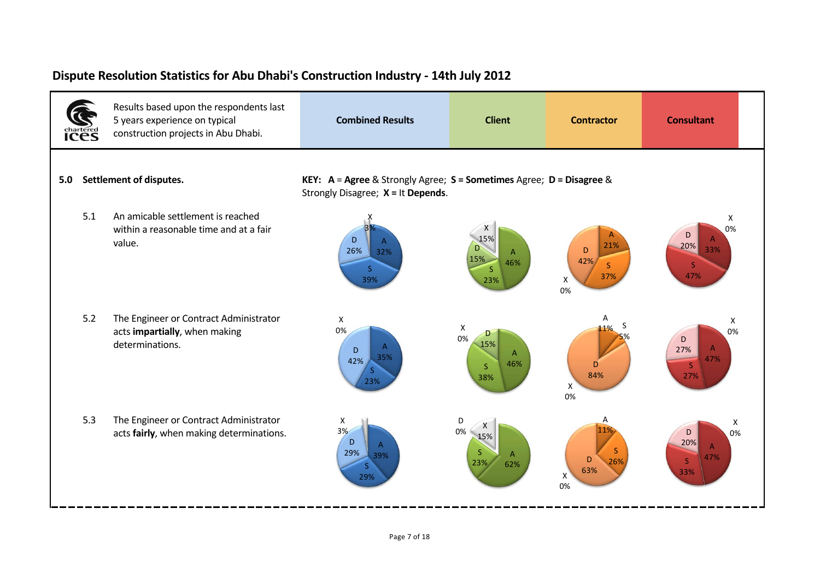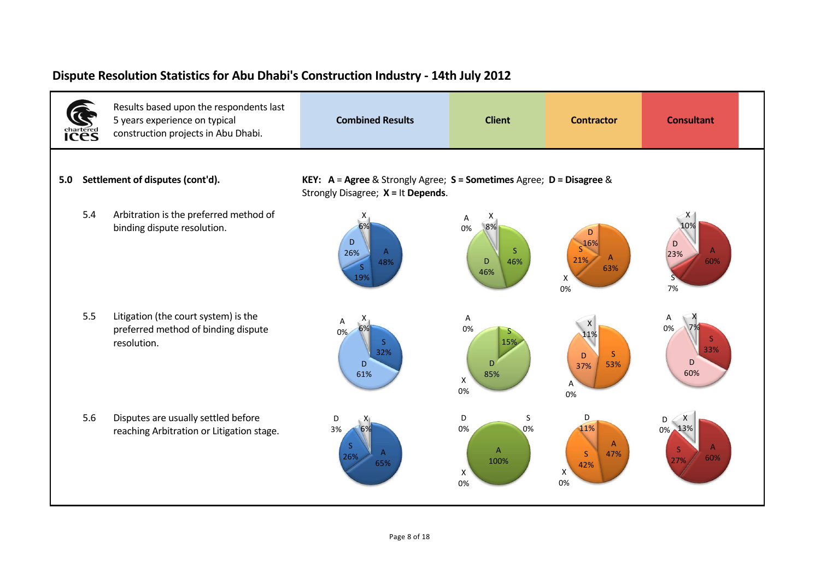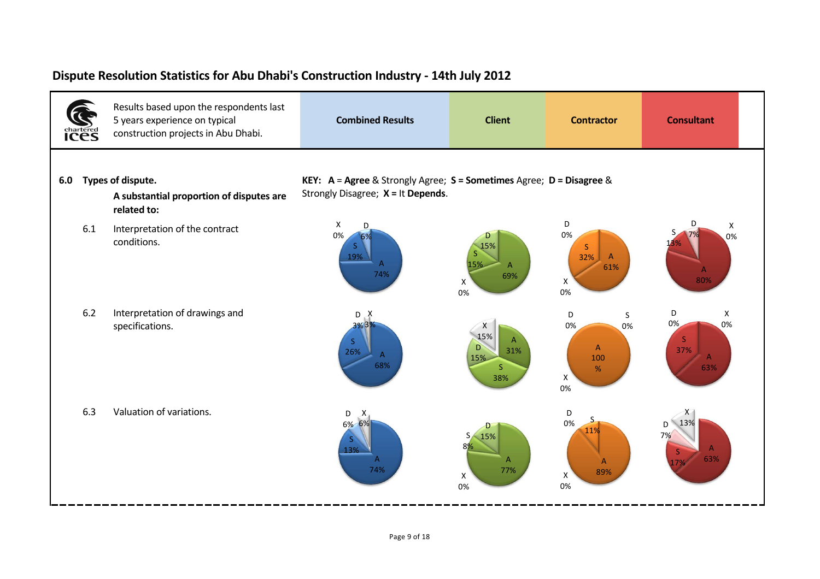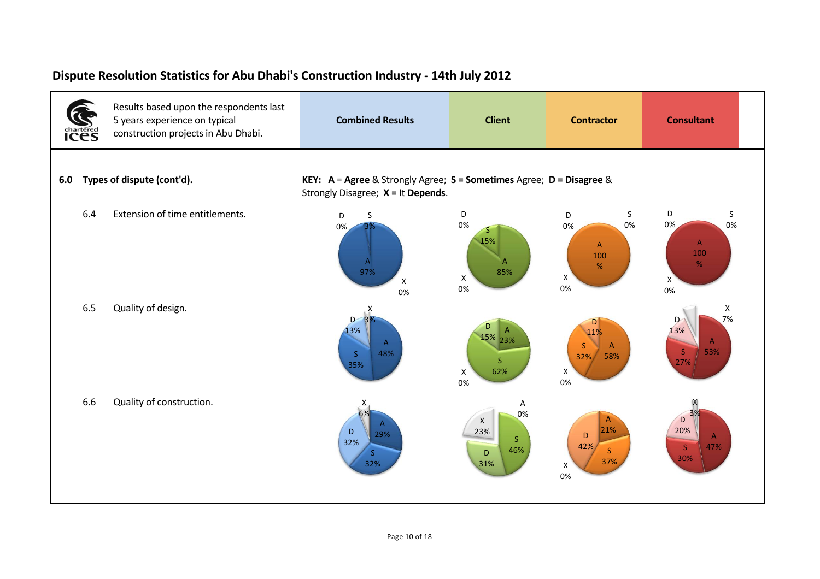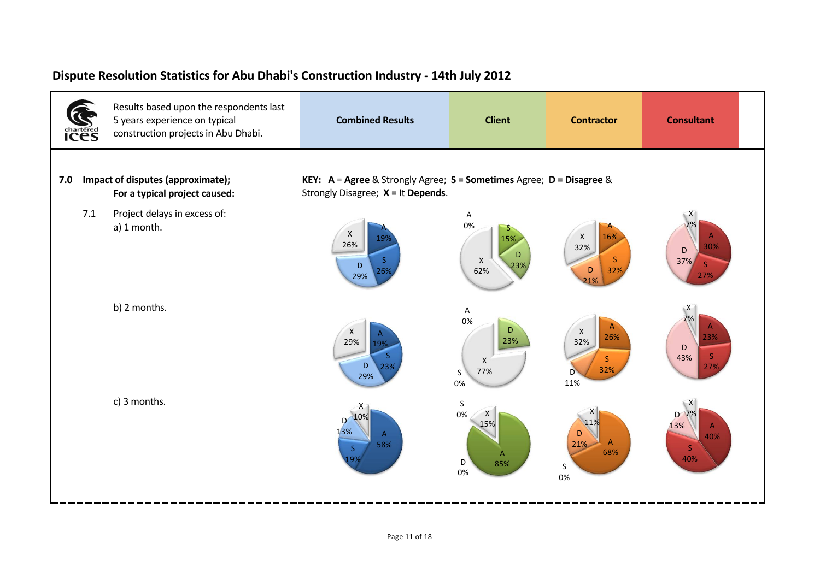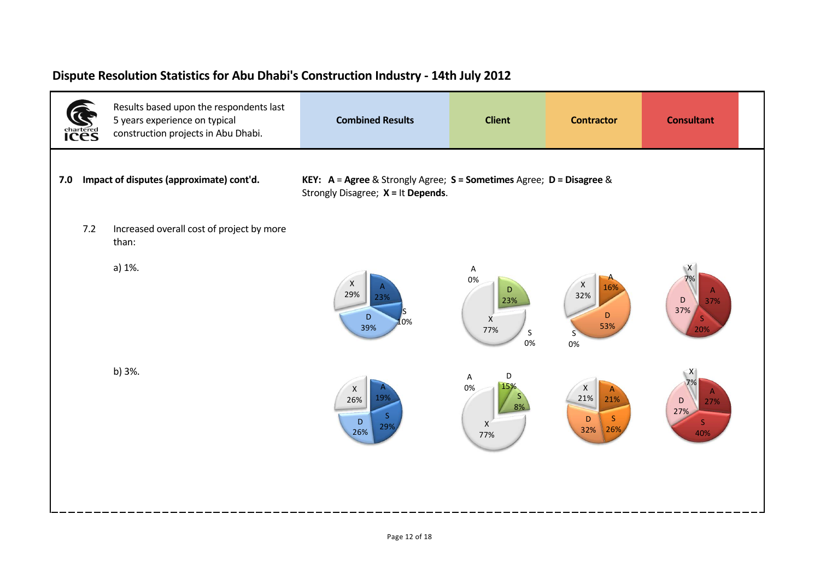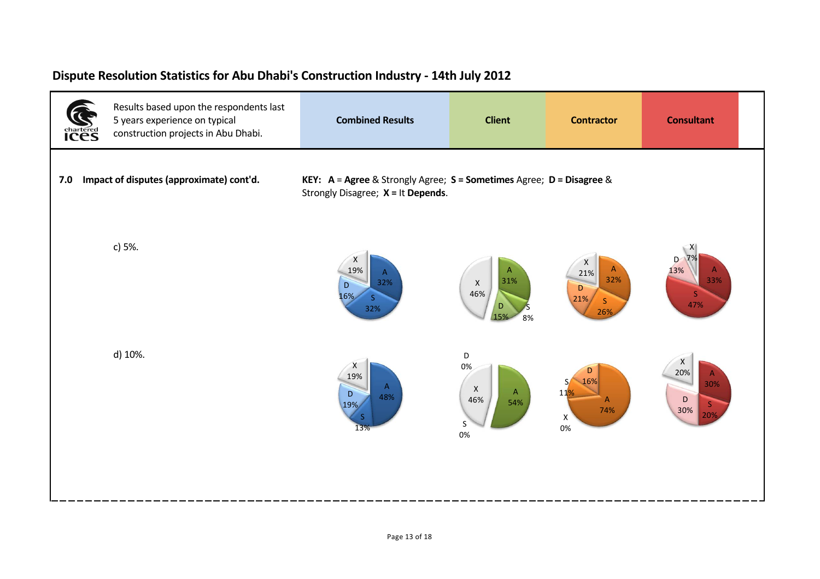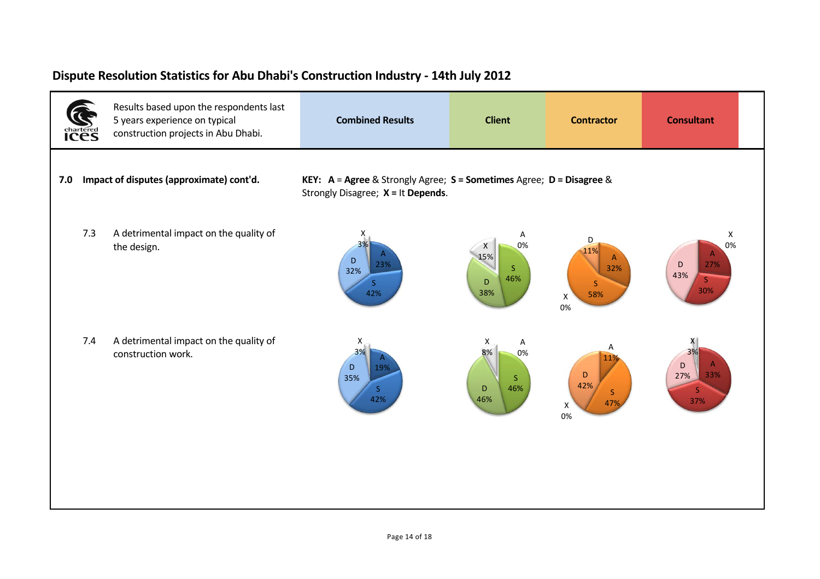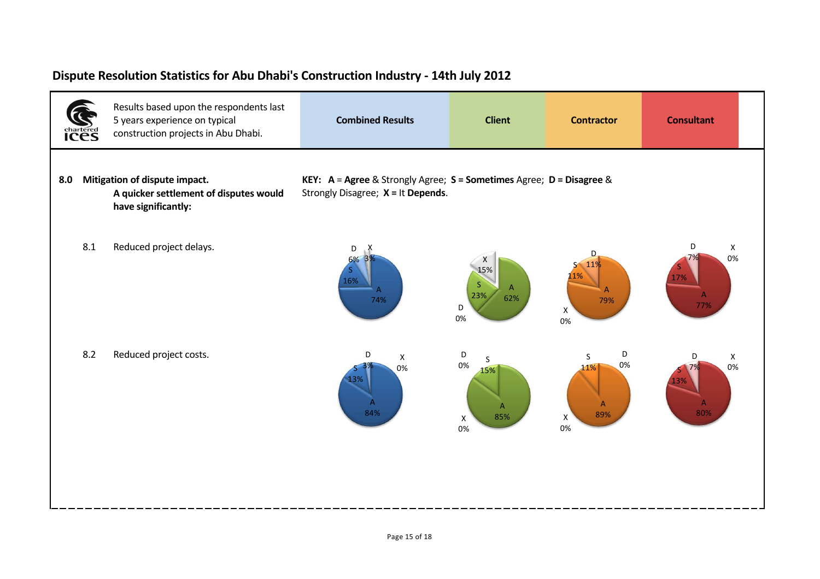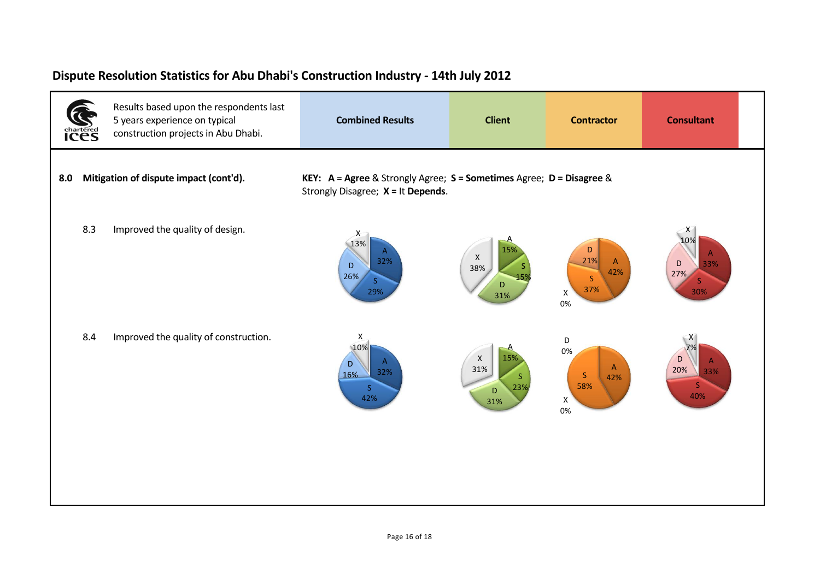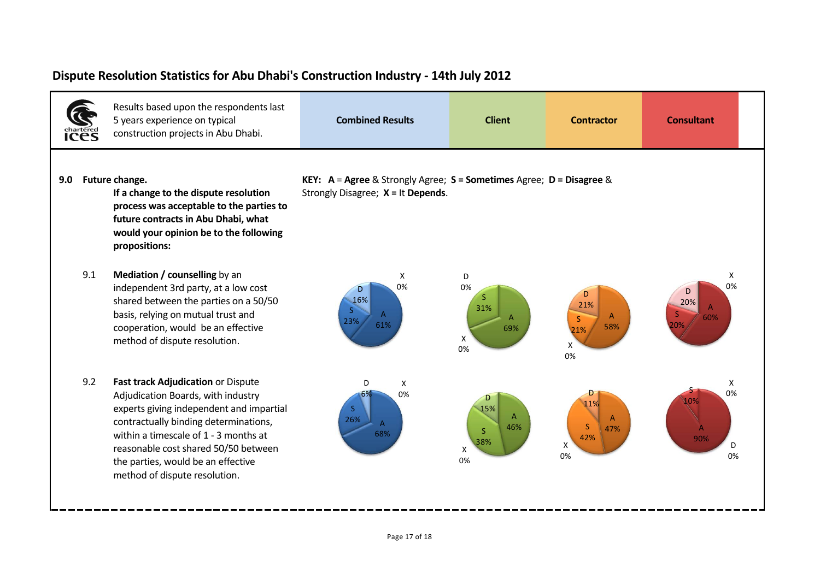